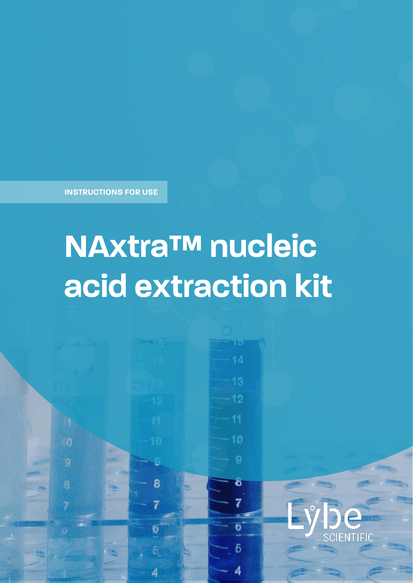**INSTRUCTIONS FOR USE**

0

# **NAxtra™ nucleic acid extraction kit**

Ĺ,

8

7

6

4

710

 $-12$ 

 $-10$ 

Ö

 $\ddot{\mathbf{0}}$ 

5

4

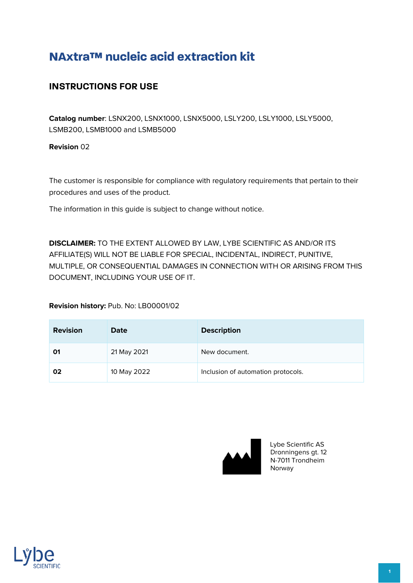# **NAxtra™ nucleic acid extraction kit**

## **INSTRUCTIONS FOR USE**

**Catalog number**: LSNX200, LSNX1000, LSNX5000, LSLY200, LSLY1000, LSLY5000, LSMB200, LSMB1000 and LSMB5000

**Revision** 02

The customer is responsible for compliance with regulatory requirements that pertain to their procedures and uses of the product.

The information in this guide is subject to change without notice.

**DISCLAIMER:** TO THE EXTENT ALLOWED BY LAW, LYBE SCIENTIFIC AS AND/OR ITS AFFILIATE(S) WILL NOT BE LIABLE FOR SPECIAL, INCIDENTAL, INDIRECT, PUNITIVE, MULTIPLE, OR CONSEQUENTIAL DAMAGES IN CONNECTION WITH OR ARISING FROM THIS DOCUMENT, INCLUDING YOUR USE OF IT.

**Revision history:** Pub. No: LB00001/02

| <b>Revision</b> | Date        | <b>Description</b>                 |
|-----------------|-------------|------------------------------------|
| 01              | 21 May 2021 | New document.                      |
| 02              | 10 May 2022 | Inclusion of automation protocols. |



Lybe Scientific AS Dronningens gt. 12 N-7011 Trondheim Norway

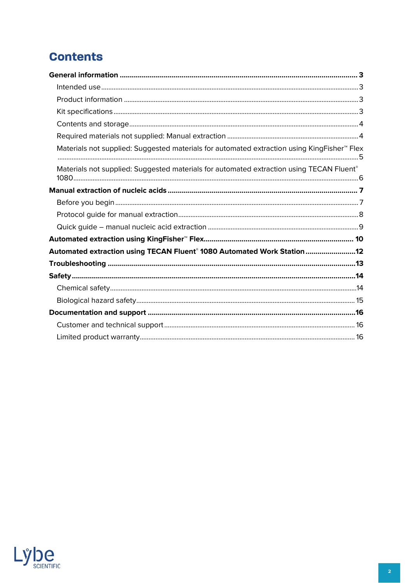# **Contents**

| Materials not supplied: Suggested materials for automated extraction using KingFisher <sup>™</sup> Flex |
|---------------------------------------------------------------------------------------------------------|
| Materials not supplied: Suggested materials for automated extraction using TECAN Fluent®                |
|                                                                                                         |
|                                                                                                         |
|                                                                                                         |
|                                                                                                         |
|                                                                                                         |
| Automated extraction using TECAN Fluent <sup>®</sup> 1080 Automated Work Station12                      |
|                                                                                                         |
|                                                                                                         |
|                                                                                                         |
|                                                                                                         |
|                                                                                                         |
|                                                                                                         |
|                                                                                                         |

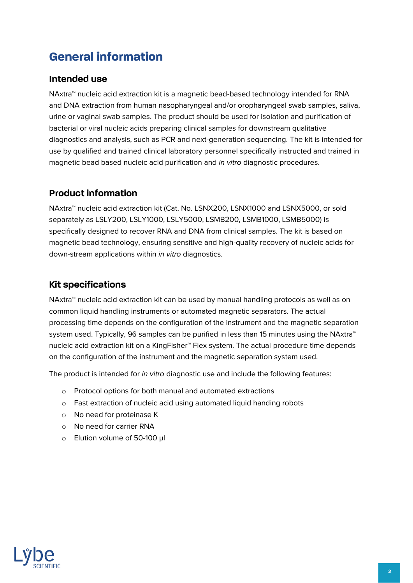# <span id="page-3-0"></span>**General information**

## <span id="page-3-1"></span>**Intended use**

NAxtra™ nucleic acid extraction kit is a magnetic bead-based technology intended for RNA and DNA extraction from human nasopharyngeal and/or oropharyngeal swab samples, saliva, urine or vaginal swab samples. The product should be used for isolation and purification of bacterial or viral nucleic acids preparing clinical samples for downstream qualitative diagnostics and analysis, such as PCR and next-generation sequencing. The kit is intended for use by qualified and trained clinical laboratory personnel specifically instructed and trained in magnetic bead based nucleic acid purification and in vitro diagnostic procedures.

## <span id="page-3-2"></span>**Product information**

NAxtra™ nucleic acid extraction kit (Cat. No. LSNX200, LSNX1000 and LSNX5000, or sold separately as LSLY200, LSLY1000, LSLY5000, LSMB200, LSMB1000, LSMB5000) is specifically designed to recover RNA and DNA from clinical samples. The kit is based on magnetic bead technology, ensuring sensitive and high-quality recovery of nucleic acids for down-stream applications within in vitro diagnostics.

## <span id="page-3-3"></span>**Kit specifications**

NAxtra™ nucleic acid extraction kit can be used by manual handling protocols as well as on common liquid handling instruments or automated magnetic separators. The actual processing time depends on the configuration of the instrument and the magnetic separation system used. Typically, 96 samples can be purified in less than 15 minutes using the NAxtra™ nucleic acid extraction kit on a KingFisher™ Flex system. The actual procedure time depends on the configuration of the instrument and the magnetic separation system used.

The product is intended for *in vitro* diagnostic use and include the following features:

- o Protocol options for both manual and automated extractions
- o Fast extraction of nucleic acid using automated liquid handing robots
- o No need for proteinase K
- o No need for carrier RNA
- o Elution volume of 50-100 µl

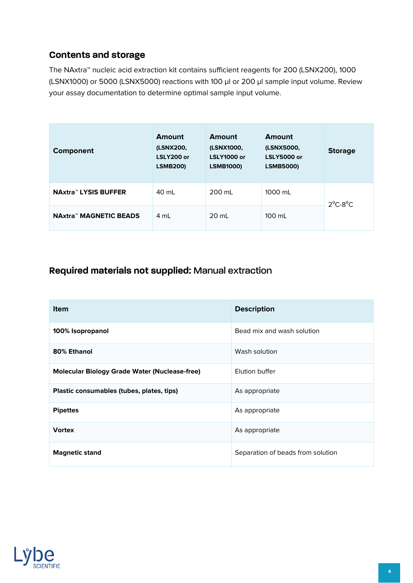## <span id="page-4-0"></span>**Contents and storage**

The NAxtra™ nucleic acid extraction kit contains sufficient reagents for 200 (LSNX200), 1000 (LSNX1000) or 5000 (LSNX5000) reactions with 100 µl or 200 µl sample input volume. Review your assay documentation to determine optimal sample input volume.

| Component                     | Amount<br>(LSNX200,<br>LSLY200 or<br><b>LSMB200)</b> | Amount<br>(LSNX1000,<br><b>LSLY1000 or</b><br><b>LSMB1000)</b> | Amount<br>(LSNX5000,<br><b>LSLY5000 or</b><br><b>LSMB5000)</b> | <b>Storage</b> |
|-------------------------------|------------------------------------------------------|----------------------------------------------------------------|----------------------------------------------------------------|----------------|
| <b>NAxtra™ LYSIS BUFFER</b>   | 40 ml                                                | 200 ml                                                         | 1000 mL                                                        | $2^0C-8^0C$    |
| <b>NAxtra™ MAGNETIC BEADS</b> | 4 mL                                                 | 20 ml                                                          | $100 \mathrm{m}$                                               |                |

## <span id="page-4-1"></span>**Required materials not supplied:** Manual extraction

| <b>Item</b>                                          | <b>Description</b>                |
|------------------------------------------------------|-----------------------------------|
| 100% Isopropanol                                     | Bead mix and wash solution        |
| 80% Ethanol                                          | Wash solution                     |
| <b>Molecular Biology Grade Water (Nuclease-free)</b> | Elution buffer                    |
| Plastic consumables (tubes, plates, tips)            | As appropriate                    |
| <b>Pipettes</b>                                      | As appropriate                    |
| <b>Vortex</b>                                        | As appropriate                    |
| <b>Magnetic stand</b>                                | Separation of beads from solution |

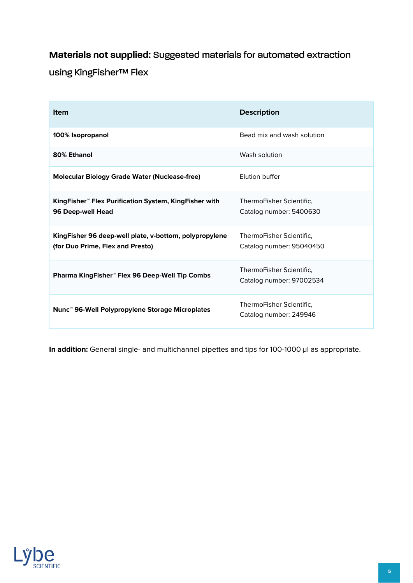## <span id="page-5-0"></span>**Materials not supplied:** Suggested materials for automated extraction

using KingFisher™ Flex

| <b>Item</b>                                                                                 | <b>Description</b>                                   |
|---------------------------------------------------------------------------------------------|------------------------------------------------------|
| 100% Isopropanol                                                                            | Bead mix and wash solution                           |
| 80% Ethanol                                                                                 | Wash solution                                        |
| <b>Molecular Biology Grade Water (Nuclease-free)</b>                                        | Flution buffer                                       |
| KingFisher <sup>™</sup> Flex Purification System, KingFisher with<br>96 Deep-well Head      | ThermoFisher Scientific.<br>Catalog number: 5400630  |
| King Fisher 96 deep-well plate, v-bottom, polypropylene<br>(for Duo Prime, Flex and Presto) | ThermoFisher Scientific.<br>Catalog number: 95040450 |
| Pharma KingFisher™ Flex 96 Deep-Well Tip Combs                                              | ThermoFisher Scientific,<br>Catalog number: 97002534 |
| Nunc <sup>™</sup> 96-Well Polypropylene Storage Microplates                                 | ThermoFisher Scientific.<br>Catalog number: 249946   |

In addition: General single- and multichannel pipettes and tips for 100-1000 µl as appropriate.

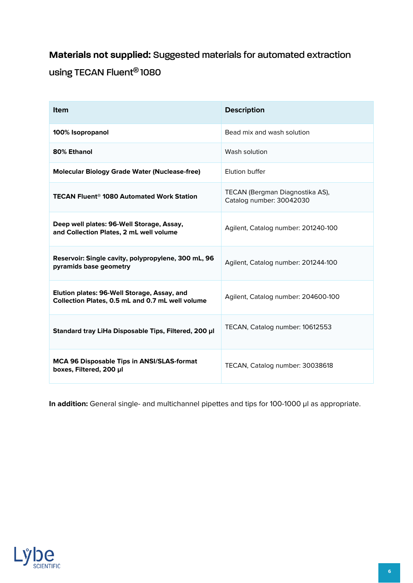# <span id="page-6-0"></span>**Materials not supplied:** Suggested materials for automated extraction using TECAN Fluent® 1080

| <b>Item</b>                                                                                     | <b>Description</b>                                          |
|-------------------------------------------------------------------------------------------------|-------------------------------------------------------------|
| 100% Isopropanol                                                                                | Bead mix and wash solution                                  |
| 80% Ethanol                                                                                     | Wash solution                                               |
| <b>Molecular Biology Grade Water (Nuclease-free)</b>                                            | Flution buffer                                              |
| <b>TECAN Fluent<sup>®</sup> 1080 Automated Work Station</b>                                     | TECAN (Bergman Diagnostika AS),<br>Catalog number: 30042030 |
| Deep well plates: 96-Well Storage, Assay,<br>and Collection Plates, 2 mL well volume            | Agilent, Catalog number: 201240-100                         |
| Reservoir: Single cavity, polypropylene, 300 mL, 96<br>pyramids base geometry                   | Agilent, Catalog number: 201244-100                         |
| Elution plates: 96-Well Storage, Assay, and<br>Collection Plates, 0.5 mL and 0.7 mL well volume | Agilent, Catalog number: 204600-100                         |
| Standard tray LiHa Disposable Tips, Filtered, 200 µl                                            | TECAN, Catalog number: 10612553                             |
| MCA 96 Disposable Tips in ANSI/SLAS-format<br>boxes, Filtered, 200 µl                           | TECAN, Catalog number: 30038618                             |

In addition: General single- and multichannel pipettes and tips for 100-1000 µl as appropriate.

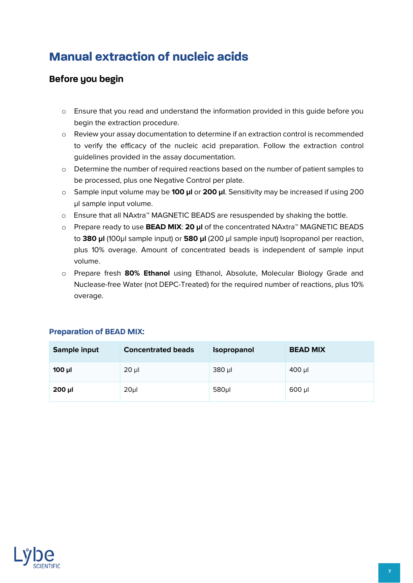# <span id="page-7-0"></span>**Manual extraction of nucleic acids**

## <span id="page-7-1"></span>**Before you begin**

- o Ensure that you read and understand the information provided in this guide before you begin the extraction procedure.
- o Review your assay documentation to determine if an extraction control is recommended to verify the efficacy of the nucleic acid preparation. Follow the extraction control guidelines provided in the assay documentation.
- o Determine the number of required reactions based on the number of patient samples to be processed, plus one Negative Control per plate.
- o Sample input volume may be **100 µl** or **200 µl**. Sensitivity may be increased if using 200 µl sample input volume.
- o Ensure that all NAxtra™ MAGNETIC BEADS are resuspended by shaking the bottle.
- o Prepare ready to use **BEAD MIX**: **20 µl** of the concentrated NAxtra™ MAGNETIC BEADS to **380 µl** (100µl sample input) or **580 µl** (200 µl sample input) Isopropanol per reaction, plus 10% overage. Amount of concentrated beads is independent of sample input volume.
- o Prepare fresh **80% Ethanol** using Ethanol, Absolute, Molecular Biology Grade and Nuclease-free Water (not DEPC-Treated) for the required number of reactions, plus 10% overage.

| Sample input | <b>Concentrated beads</b> | Isopropanol | <b>BEAD MIX</b> |
|--------------|---------------------------|-------------|-----------------|
| $100$ $\mu$  | $20 \mu$                  | 380 µl      | $400$ µl        |
| $200$ µl     | 20 <sub>µ</sub>           | $580 \mu$   | $600$ µl        |

#### **Preparation of BEAD MIX:**

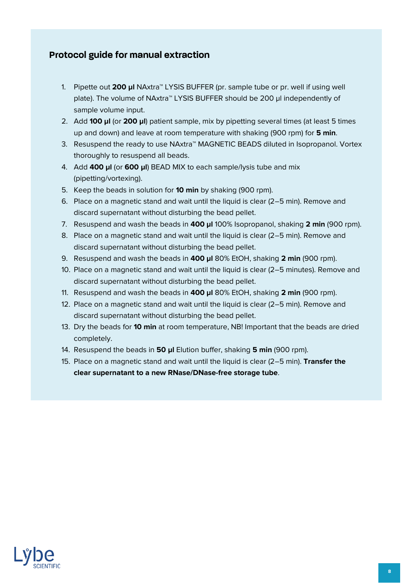## <span id="page-8-0"></span>**Protocol guide for manual extraction**

- 1. Pipette out **200 µl** NAxtra™ LYSIS BUFFER (pr. sample tube or pr. well if using well plate). The volume of NAxtra™ LYSIS BUFFER should be 200 µl independently of sample volume input.
- 2. Add **100 µl** (or **200 µl**) patient sample, mix by pipetting several times (at least 5 times up and down) and leave at room temperature with shaking (900 rpm) for **5 min**.
- 3. Resuspend the ready to use NAxtra™ MAGNETIC BEADS diluted in Isopropanol. Vortex thoroughly to resuspend all beads.
- 4. Add **400 µl** (or **600 µl**) BEAD MIX to each sample/lysis tube and mix (pipetting/vortexing).
- 5. Keep the beads in solution for **10 min** by shaking (900 rpm).
- 6. Place on a magnetic stand and wait until the liquid is clear (2–5 min). Remove and discard supernatant without disturbing the bead pellet.
- 7. Resuspend and wash the beads in **400 µl** 100% Isopropanol, shaking **2 min** (900 rpm).
- 8. Place on a magnetic stand and wait until the liquid is clear (2–5 min). Remove and discard supernatant without disturbing the bead pellet.
- 9. Resuspend and wash the beads in **400 µl** 80% EtOH, shaking **2 min** (900 rpm).
- 10. Place on a magnetic stand and wait until the liquid is clear (2–5 minutes). Remove and discard supernatant without disturbing the bead pellet.
- 11. Resuspend and wash the beads in **400 µl** 80% EtOH, shaking **2 min** (900 rpm).
- 12. Place on a magnetic stand and wait until the liquid is clear (2–5 min). Remove and discard supernatant without disturbing the bead pellet.
- 13. Dry the beads for **10 min** at room temperature, NB! Important that the beads are dried completely.
- 14. Resuspend the beads in **50 µl** Elution buffer, shaking **5 min** (900 rpm).
- 15. Place on a magnetic stand and wait until the liquid is clear (2–5 min). **Transfer the clear supernatant to a new RNase/DNase-free storage tube**.

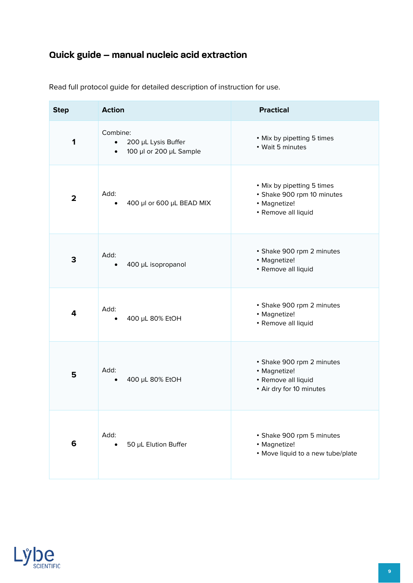# <span id="page-9-0"></span>**Quick guide – manual nucleic acid extraction**

| <b>Step</b>    | <b>Action</b>                                                                        | <b>Practical</b>                                                                                |
|----------------|--------------------------------------------------------------------------------------|-------------------------------------------------------------------------------------------------|
| 1              | Combine:<br>200 µL Lysis Buffer<br>$\bullet$<br>100 µl or 200 µL Sample<br>$\bullet$ | • Mix by pipetting 5 times<br>• Wait 5 minutes                                                  |
| $\overline{2}$ | Add:<br>400 µl or 600 µL BEAD MIX                                                    | • Mix by pipetting 5 times<br>• Shake 900 rpm 10 minutes<br>• Magnetize!<br>• Remove all liquid |
| 3              | Add:<br>400 µL isopropanol                                                           | • Shake 900 rpm 2 minutes<br>• Magnetize!<br>• Remove all liquid                                |
| 4              | Add:<br>400 µL 80% EtOH                                                              | • Shake 900 rpm 2 minutes<br>• Magnetize!<br>• Remove all liquid                                |
| 5              | Add:<br>400 µL 80% EtOH                                                              | • Shake 900 rpm 2 minutes<br>• Magnetize!<br>• Remove all liquid<br>• Air dry for 10 minutes    |
| 6              | Add:<br>50 µL Elution Buffer                                                         | • Shake 900 rpm 5 minutes<br>• Magnetize!<br>• Move liquid to a new tube/plate                  |

Read full protocol guide for detailed description of instruction for use.

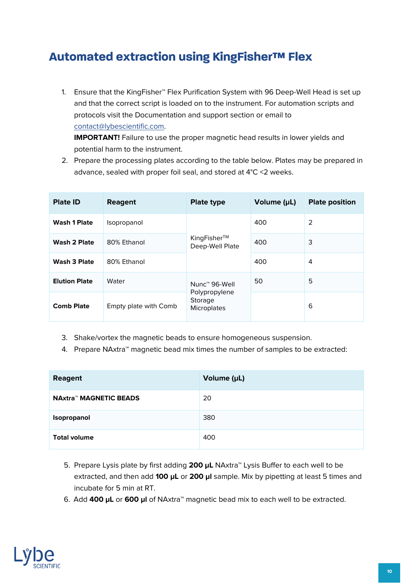# <span id="page-10-0"></span>**Automated extraction using KingFisher™ Flex**

1. Ensure that the KingFisher™ Flex Purification System with 96 Deep-Well Head is set up and that the correct script is loaded on to the instrument. For automation scripts and protocols visit the Documentation and support section or email to [contact@lybescientific.com.](mailto:contact@lybescientific.com)

**IMPORTANT!** Failure to use the proper magnetic head results in lower yields and potential harm to the instrument.

2. Prepare the processing plates according to the table below. Plates may be prepared in advance, sealed with proper foil seal, and stored at 4°C <2 weeks.

| <b>Plate ID</b>      | <b>Reagent</b>        | <b>Plate type</b>                                                    | Volume (µL) | <b>Plate position</b> |
|----------------------|-----------------------|----------------------------------------------------------------------|-------------|-----------------------|
| <b>Wash 1 Plate</b>  | Isopropanol           | KingFisher™<br>Deep-Well Plate                                       | 400         | 2                     |
| Wash 2 Plate         | 80% Ethanol           |                                                                      | 400         | 3                     |
| <b>Wash 3 Plate</b>  | 80% Ethanol           |                                                                      | 400         | 4                     |
| <b>Elution Plate</b> | Water                 | Nunc <sup>™</sup> 96-Well<br>Polypropylene<br>Storage<br>Microplates | 50          | 5                     |
| <b>Comb Plate</b>    | Empty plate with Comb |                                                                      |             | 6                     |

- 3. Shake/vortex the magnetic beads to ensure homogeneous suspension.
- 4. Prepare NAxtra™ magnetic bead mix times the number of samples to be extracted:

| Reagent                       | Volume (µL) |
|-------------------------------|-------------|
| <b>NAxtra™ MAGNETIC BEADS</b> | 20          |
| Isopropanol                   | 380         |
| <b>Total volume</b>           | 400         |

- 5. Prepare Lysis plate by first adding **200 µL** NAxtra™ Lysis Buffer to each well to be extracted, and then add **100 µL** or **200 µl** sample. Mix by pipetting at least 5 times and incubate for 5 min at RT.
- 6. Add **400 µL** or **600 µl** of NAxtra™ magnetic bead mix to each well to be extracted.

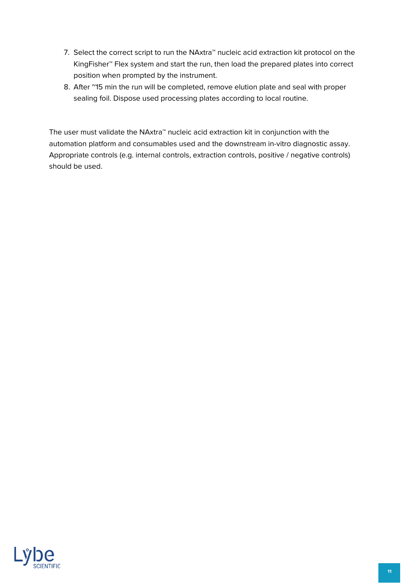- 7. Select the correct script to run the NAxtra™ nucleic acid extraction kit protocol on the KingFisher™ Flex system and start the run, then load the prepared plates into correct position when prompted by the instrument.
- 8. After ~15 min the run will be completed, remove elution plate and seal with proper sealing foil. Dispose used processing plates according to local routine.

The user must validate the NAxtra™ nucleic acid extraction kit in conjunction with the automation platform and consumables used and the downstream in-vitro diagnostic assay. Appropriate controls (e.g. internal controls, extraction controls, positive / negative controls) should be used.

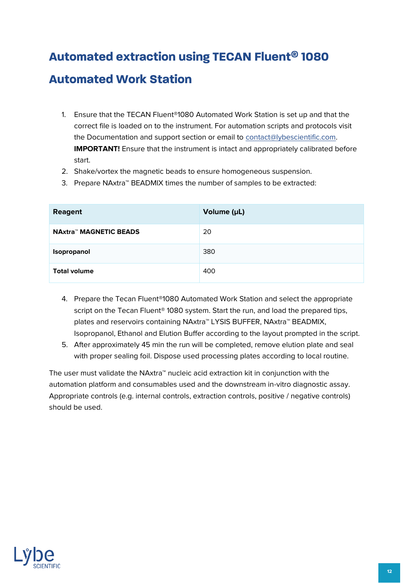# <span id="page-12-0"></span>**Automated extraction using TECAN Fluent® 1080**

## **Automated Work Station**

- 1. Ensure that the TECAN Fluent®1080 Automated Work Station is set up and that the correct file is loaded on to the instrument. For automation scripts and protocols visit the Documentation and support section or email to [contact@lybescientific.com.](mailto:contact@lybescientific.com) **IMPORTANT!** Ensure that the instrument is intact and appropriately calibrated before start.
- 2. Shake/vortex the magnetic beads to ensure homogeneous suspension.
- 3. Prepare NAxtra™ BEADMIX times the number of samples to be extracted:

| <b>Reagent</b>                | Volume (µL) |
|-------------------------------|-------------|
| <b>NAxtra™ MAGNETIC BEADS</b> | 20          |
| Isopropanol                   | 380         |
| <b>Total volume</b>           | 400         |

- 4. Prepare the Tecan Fluent®1080 Automated Work Station and select the appropriate script on the Tecan Fluent<sup>®</sup> 1080 system. Start the run, and load the prepared tips, plates and reservoirs containing NAxtra™ LYSIS BUFFER, NAxtra™ BEADMIX, Isopropanol, Ethanol and Elution Buffer according to the layout prompted in the script.
- 5. After approximately 45 min the run will be completed, remove elution plate and seal with proper sealing foil. Dispose used processing plates according to local routine.

The user must validate the NAxtra™ nucleic acid extraction kit in conjunction with the automation platform and consumables used and the downstream in-vitro diagnostic assay. Appropriate controls (e.g. internal controls, extraction controls, positive / negative controls) should be used.

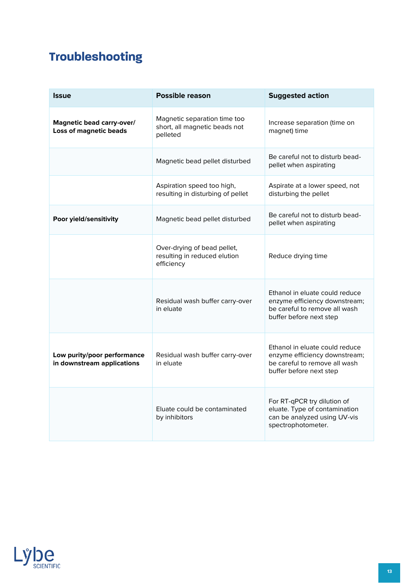# <span id="page-13-0"></span>**Troubleshooting**

| <b>Issue</b>                                               | <b>Possible reason</b>                                                    | <b>Suggested action</b>                                                                                                     |  |
|------------------------------------------------------------|---------------------------------------------------------------------------|-----------------------------------------------------------------------------------------------------------------------------|--|
| Magnetic bead carry-over/<br><b>Loss of magnetic beads</b> | Magnetic separation time too<br>short, all magnetic beads not<br>pelleted | Increase separation (time on<br>magnet) time                                                                                |  |
|                                                            | Magnetic bead pellet disturbed                                            | Be careful not to disturb bead-<br>pellet when aspirating                                                                   |  |
|                                                            | Aspiration speed too high,<br>resulting in disturbing of pellet           | Aspirate at a lower speed, not<br>disturbing the pellet                                                                     |  |
| Poor yield/sensitivity                                     | Magnetic bead pellet disturbed                                            | Be careful not to disturb bead-<br>pellet when aspirating                                                                   |  |
|                                                            | Over-drying of bead pellet,<br>resulting in reduced elution<br>efficiency | Reduce drying time                                                                                                          |  |
|                                                            | Residual wash buffer carry-over<br>in eluate                              | Ethanol in eluate could reduce<br>enzyme efficiency downstream;<br>be careful to remove all wash<br>buffer before next step |  |
| Low purity/poor performance<br>in downstream applications  | Residual wash buffer carry-over<br>in eluate                              | Ethanol in eluate could reduce<br>enzyme efficiency downstream;<br>be careful to remove all wash<br>buffer before next step |  |
|                                                            | Eluate could be contaminated<br>by inhibitors                             | For RT-qPCR try dilution of<br>eluate. Type of contamination<br>can be analyzed using UV-vis<br>spectrophotometer.          |  |

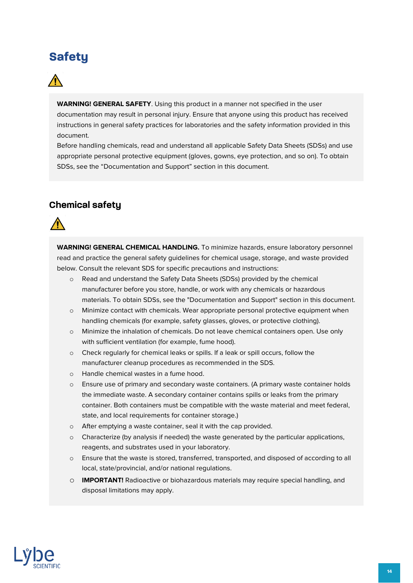# <span id="page-14-0"></span>**Safety**



**WARNING! GENERAL SAFETY**. Using this product in a manner not specified in the user documentation may result in personal injury. Ensure that anyone using this product has received instructions in general safety practices for laboratories and the safety information provided in this document.

Before handling chemicals, read and understand all applicable Safety Data Sheets (SDSs) and use appropriate personal protective equipment (gloves, gowns, eye protection, and so on). To obtain SDSs, see the "Documentation and Support" section in this document.

## <span id="page-14-1"></span>**Chemical safety**



**WARNING! GENERAL CHEMICAL HANDLING.** To minimize hazards, ensure laboratory personnel read and practice the general safety guidelines for chemical usage, storage, and waste provided below. Consult the relevant SDS for specific precautions and instructions:

- o Read and understand the Safety Data Sheets (SDSs) provided by the chemical manufacturer before you store, handle, or work with any chemicals or hazardous materials. To obtain SDSs, see the "Documentation and Support" section in this document.
- o Minimize contact with chemicals. Wear appropriate personal protective equipment when handling chemicals (for example, safety glasses, gloves, or protective clothing).
- o Minimize the inhalation of chemicals. Do not leave chemical containers open. Use only with sufficient ventilation (for example, fume hood).
- o Check regularly for chemical leaks or spills. If a leak or spill occurs, follow the manufacturer cleanup procedures as recommended in the SDS.
- o Handle chemical wastes in a fume hood.
- o Ensure use of primary and secondary waste containers. (A primary waste container holds the immediate waste. A secondary container contains spills or leaks from the primary container. Both containers must be compatible with the waste material and meet federal, state, and local requirements for container storage.)
- o After emptying a waste container, seal it with the cap provided.
- $\circ$  Characterize (by analysis if needed) the waste generated by the particular applications, reagents, and substrates used in your laboratory.
- o Ensure that the waste is stored, transferred, transported, and disposed of according to all local, state/provincial, and/or national regulations.
- o **IMPORTANT!** Radioactive or biohazardous materials may require special handling, and disposal limitations may apply.

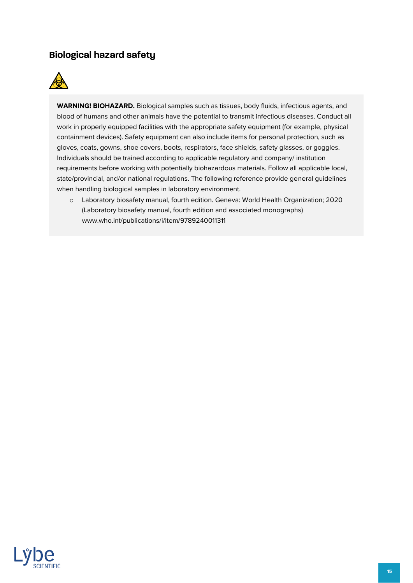## <span id="page-15-0"></span>**Biological hazard safety**



**WARNING! BIOHAZARD.** Biological samples such as tissues, body fluids, infectious agents, and blood of humans and other animals have the potential to transmit infectious diseases. Conduct all work in properly equipped facilities with the appropriate safety equipment (for example, physical containment devices). Safety equipment can also include items for personal protection, such as gloves, coats, gowns, shoe covers, boots, respirators, face shields, safety glasses, or goggles. Individuals should be trained according to applicable regulatory and company/ institution requirements before working with potentially biohazardous materials. Follow all applicable local, state/provincial, and/or national regulations. The following reference provide general guidelines when handling biological samples in laboratory environment.

o Laboratory biosafety manual, fourth edition. Geneva: World Health Organization; 2020 (Laboratory biosafety manual, fourth edition and associated monographs) www.who.int/publications/i/item/9789240011311